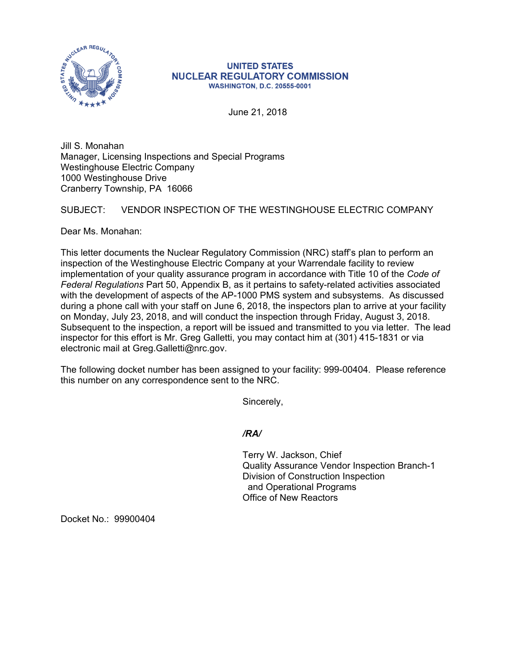

## **UNITED STATES NUCLEAR REGULATORY COMMISSION WASHINGTON, D.C. 20555-0001**

June 21, 2018

Jill S. Monahan Manager, Licensing Inspections and Special Programs Westinghouse Electric Company 1000 Westinghouse Drive Cranberry Township, PA 16066

## SUBJECT: VENDOR INSPECTION OF THE WESTINGHOUSE ELECTRIC COMPANY

Dear Ms. Monahan:

This letter documents the Nuclear Regulatory Commission (NRC) staff's plan to perform an inspection of the Westinghouse Electric Company at your Warrendale facility to review implementation of your quality assurance program in accordance with Title 10 of the *Code of Federal Regulations* Part 50, Appendix B, as it pertains to safety-related activities associated with the development of aspects of the AP-1000 PMS system and subsystems. As discussed during a phone call with your staff on June 6, 2018, the inspectors plan to arrive at your facility on Monday, July 23, 2018, and will conduct the inspection through Friday, August 3, 2018. Subsequent to the inspection, a report will be issued and transmitted to you via letter. The lead inspector for this effort is Mr. Greg Galletti, you may contact him at (301) 415-1831 or via electronic mail at Greg.Galletti@nrc.gov.

The following docket number has been assigned to your facility: 999-00404. Please reference this number on any correspondence sent to the NRC.

Sincerely,

*/RA/* 

Terry W. Jackson, Chief Quality Assurance Vendor Inspection Branch-1 Division of Construction Inspection and Operational Programs Office of New Reactors

Docket No.: 99900404